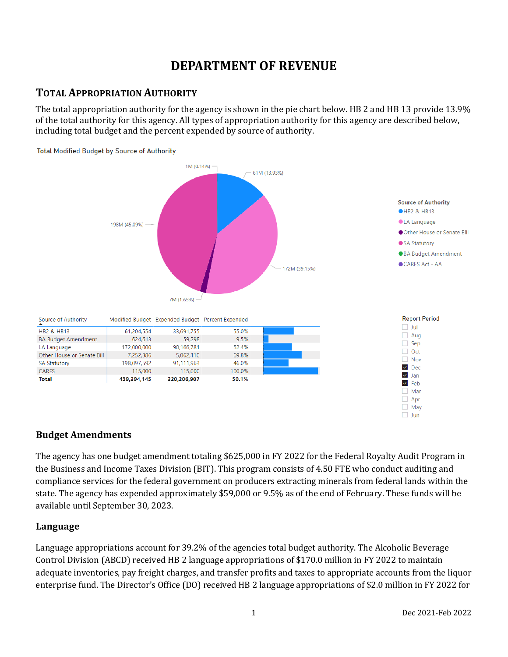# **DEPARTMENT OF REVENUE**

## **TOTAL APPROPRIATION AUTHORITY**

The total appropriation authority for the agency is shown in the pie chart below. HB 2 and HB 13 provide 13.9% of the total authority for this agency. All types of appropriation authority for this agency are described below, including total budget and the percent expended by source of authority.



## **Budget Amendments**

The agency has one budget amendment totaling \$625,000 in FY 2022 for the Federal Royalty Audit Program in the Business and Income Taxes Division (BIT). This program consists of 4.50 FTE who conduct auditing and compliance services for the federal government on producers extracting minerals from federal lands within the state. The agency has expended approximately \$59,000 or 9.5% as of the end of February. These funds will be available until September 30, 2023.

## **Language**

Language appropriations account for 39.2% of the agencies total budget authority. The Alcoholic Beverage Control Division (ABCD) received HB 2 language appropriations of \$170.0 million in FY 2022 to maintain adequate inventories, pay freight charges, and transfer profits and taxes to appropriate accounts from the liquor enterprise fund. The Director's Office (DO) received HB 2 language appropriations of \$2.0 million in FY 2022 for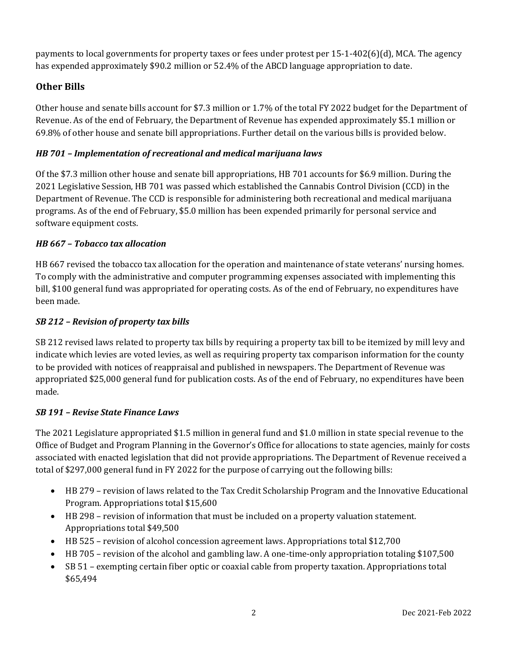payments to local governments for property taxes or fees under protest per 15-1-402(6)(d), MCA. The agency has expended approximately \$90.2 million or 52.4% of the ABCD language appropriation to date.

## **Other Bills**

Other house and senate bills account for \$7.3 million or 1.7% of the total FY 2022 budget for the Department of Revenue. As of the end of February, the Department of Revenue has expended approximately \$5.1 million or 69.8% of other house and senate bill appropriations. Further detail on the various bills is provided below.

## *HB 701 – Implementation of recreational and medical marijuana laws*

Of the \$7.3 million other house and senate bill appropriations, HB 701 accounts for \$6.9 million. During the 2021 Legislative Session, HB 701 was passed which established the Cannabis Control Division (CCD) in the Department of Revenue. The CCD is responsible for administering both recreational and medical marijuana programs. As of the end of February, \$5.0 million has been expended primarily for personal service and software equipment costs.

## *HB 667 – Tobacco tax allocation*

HB 667 revised the tobacco tax allocation for the operation and maintenance of state veterans' nursing homes. To comply with the administrative and computer programming expenses associated with implementing this bill, \$100 general fund was appropriated for operating costs. As of the end of February, no expenditures have been made.

## *SB 212 – Revision of property tax bills*

SB 212 revised laws related to property tax bills by requiring a property tax bill to be itemized by mill levy and indicate which levies are voted levies, as well as requiring property tax comparison information for the county to be provided with notices of reappraisal and published in newspapers. The Department of Revenue was appropriated \$25,000 general fund for publication costs. As of the end of February, no expenditures have been made.

## *SB 191 – Revise State Finance Laws*

The 2021 Legislature appropriated \$1.5 million in general fund and \$1.0 million in state special revenue to the Office of Budget and Program Planning in the Governor's Office for allocations to state agencies, mainly for costs associated with enacted legislation that did not provide appropriations. The Department of Revenue received a total of \$297,000 general fund in FY 2022 for the purpose of carrying out the following bills:

- HB 279 revision of laws related to the Tax Credit Scholarship Program and the Innovative Educational Program. Appropriations total \$15,600
- HB 298 revision of information that must be included on a property valuation statement. Appropriations total \$49,500
- HB 525 revision of alcohol concession agreement laws. Appropriations total \$12,700
- HB 705 revision of the alcohol and gambling law. A one-time-only appropriation totaling \$107,500
- SB 51 exempting certain fiber optic or coaxial cable from property taxation. Appropriations total \$65,494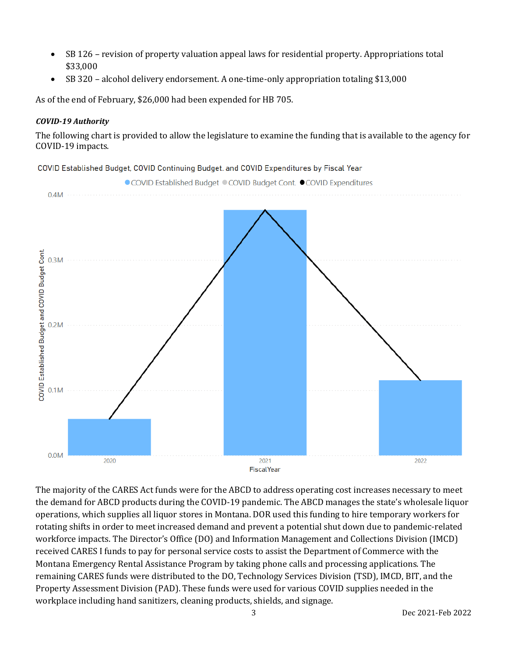- SB 126 revision of property valuation appeal laws for residential property. Appropriations total \$33,000
- SB 320 alcohol delivery endorsement. A one-time-only appropriation totaling \$13,000

As of the end of February, \$26,000 had been expended for HB 705.

#### *COVID-19 Authority*

The following chart is provided to allow the legislature to examine the funding that is available to the agency for COVID-19 impacts.

COVID Established Budget, COVID Continuing Budget. and COVID Expenditures by Fiscal Year



The majority of the CARES Act funds were for the ABCD to address operating cost increases necessary to meet the demand for ABCD products during the COVID-19 pandemic. The ABCD manages the state's wholesale liquor operations, which supplies all liquor stores in Montana. DOR used this funding to hire temporary workers for rotating shifts in order to meet increased demand and prevent a potential shut down due to pandemic-related workforce impacts. The Director's Office (DO) and Information Management and Collections Division (IMCD) received CARES I funds to pay for personal service costs to assist the Department of Commerce with the Montana Emergency Rental Assistance Program by taking phone calls and processing applications. The remaining CARES funds were distributed to the DO, Technology Services Division (TSD), IMCD, BIT, and the Property Assessment Division (PAD). These funds were used for various COVID supplies needed in the workplace including hand sanitizers, cleaning products, shields, and signage.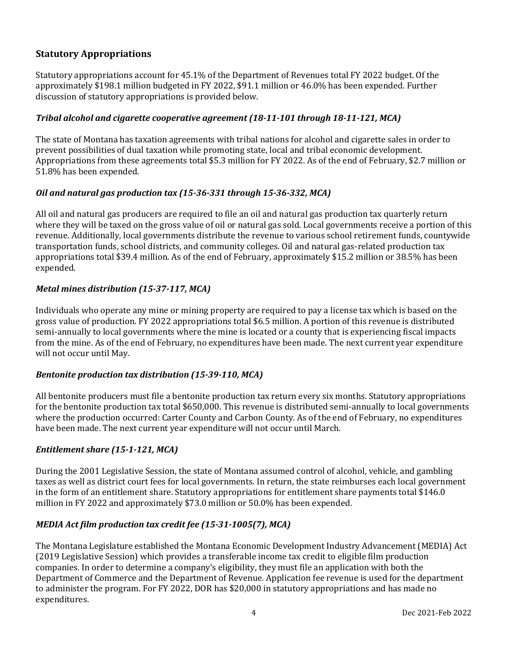## **Statutory Appropriations**

Statutory appropriations account for 45.1% of the Department of Revenues total FY 2022 budget. Of the approximately \$198.1 million budgeted in FY 2022, \$91.1 million or 46.0% has been expended. Further discussion of statutory appropriations is provided below.

#### *Tribal alcohol and cigarette cooperative agreement (18-11-101 through 18-11-121, MCA)*

The state of Montana has taxation agreements with tribal nations for alcohol and cigarette sales in order to prevent possibilities of dual taxation while promoting state, local and tribal economic development. Appropriations from these agreements total \$5.3 million for FY 2022. As of the end of February, \$2.7 million or 51.8% has been expended.

#### *Oil and natural gas production tax (15-36-331 through 15-36-332, MCA)*

All oil and natural gas producers are required to file an oil and natural gas production tax quarterly return where they will be taxed on the gross value of oil or natural gas sold. Local governments receive a portion of this revenue. Additionally, local governments distribute the revenue to various school retirement funds, countywide transportation funds, school districts, and community colleges. Oil and natural gas-related production tax appropriations total \$39.4 million. As of the end of February, approximately \$15.2 million or 38.5% has been expended.

#### *Metal mines distribution (15-37-117, MCA)*

Individuals who operate any mine or mining property are required to pay a license tax which is based on the gross value of production. FY 2022 appropriations total \$6.5 million. A portion of this revenue is distributed semi-annually to local governments where the mine is located or a county that is experiencing fiscal impacts from the mine. As of the end of February, no expenditures have been made. The next current year expenditure will not occur until May.

#### *Bentonite production tax distribution (15-39-110, MCA)*

All bentonite producers must file a bentonite production tax return every six months. Statutory appropriations for the bentonite production tax total \$650,000. This revenue is distributed semi-annually to local governments where the production occurred: Carter County and Carbon County. As of the end of February, no expenditures have been made. The next current year expenditure will not occur until March.

#### *Entitlement share (15-1-121, MCA)*

During the 2001 Legislative Session, the state of Montana assumed control of alcohol, vehicle, and gambling taxes as well as district court fees for local governments. In return, the state reimburses each local government in the form of an entitlement share. Statutory appropriations for entitlement share payments total \$146.0 million in FY 2022 and approximately \$73.0 million or 50.0% has been expended.

#### *MEDIA Act film production tax credit fee (15-31-1005(7), MCA)*

The Montana Legislature established the Montana Economic Development Industry Advancement (MEDIA) Act (2019 Legislative Session) which provides a transferable income tax credit to eligible film production companies. In order to determine a company's eligibility, they must file an application with both the Department of Commerce and the Department of Revenue. Application fee revenue is used for the department to administer the program. For FY 2022, DOR has \$20,000 in statutory appropriations and has made no expenditures.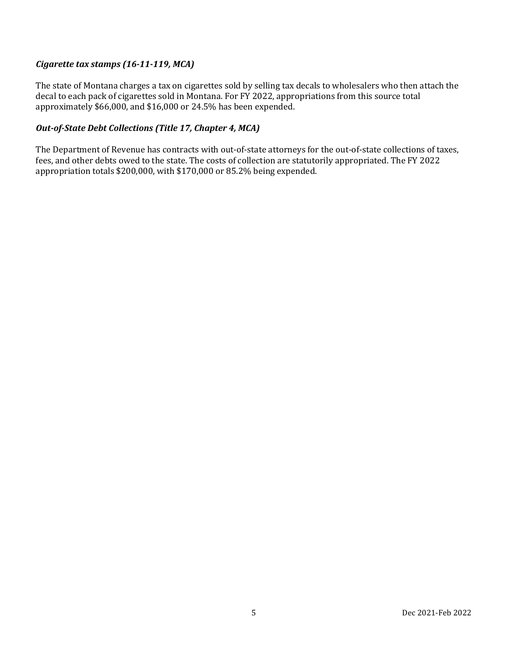### *Cigarette tax stamps (16-11-119, MCA)*

The state of Montana charges a tax on cigarettes sold by selling tax decals to wholesalers who then attach the decal to each pack of cigarettes sold in Montana. For FY 2022, appropriations from this source total approximately \$66,000, and \$16,000 or 24.5% has been expended.

#### *Out-of-State Debt Collections (Title 17, Chapter 4, MCA)*

The Department of Revenue has contracts with out-of-state attorneys for the out-of-state collections of taxes, fees, and other debts owed to the state. The costs of collection are statutorily appropriated. The FY 2022 appropriation totals \$200,000, with \$170,000 or 85.2% being expended.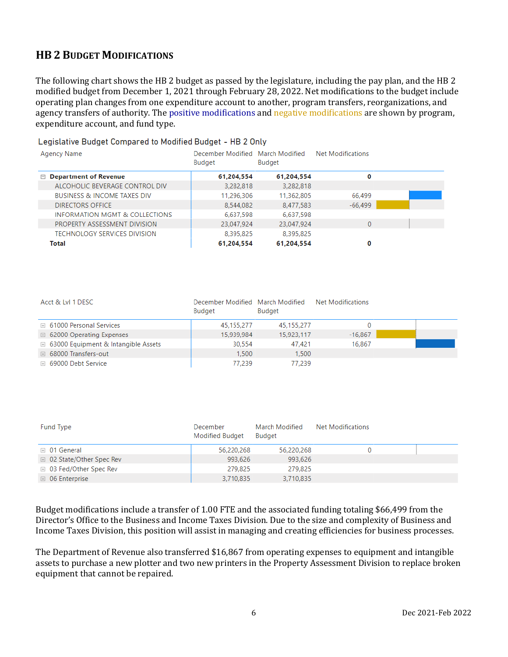## **HB 2 BUDGET MODIFICATIONS**

i.

The following chart shows the HB 2 budget as passed by the legislature, including the pay plan, and the HB 2 modified budget from December 1, 2021 through February 28, 2022. Net modifications to the budget include operating plan changes from one expenditure account to another, program transfers, reorganizations, and agency transfers of authority. The positive modifications and negative modifications are shown by program, expenditure account, and fund type.

| Legislative Budget Compared to Modified Budget - HB 2 Only |                                                   |               |                   |  |  |  |  |
|------------------------------------------------------------|---------------------------------------------------|---------------|-------------------|--|--|--|--|
| Agency Name                                                | December Modified March Modified<br><b>Budget</b> | <b>Budget</b> | Net Modifications |  |  |  |  |
| $\Box$ Department of Revenue                               | 61,204,554                                        | 61,204,554    | 0                 |  |  |  |  |
| ALCOHOLIC BEVERAGE CONTROL DIV                             | 3,282,818                                         | 3,282,818     |                   |  |  |  |  |
| <b>BUSINESS &amp; INCOME TAXES DIV</b>                     | 11,296,306                                        | 11,362,805    | 66,499            |  |  |  |  |
| <b>DIRECTORS OFFICE</b>                                    | 8.544.082                                         | 8,477,583     | $-66.499$         |  |  |  |  |
| INFORMATION MGMT & COLLECTIONS                             | 6,637,598                                         | 6,637,598     |                   |  |  |  |  |
| PROPERTY ASSESSMENT DIVISION                               | 23,047,924                                        | 23,047,924    | $\mathbf{0}$      |  |  |  |  |
| TECHNOLOGY SERVICES DIVISION                               | 8,395,825                                         | 8,395,825     |                   |  |  |  |  |
| Total                                                      | 61,204,554                                        | 61,204,554    | 0                 |  |  |  |  |

| Acct & LvI 1 DESC                            | December Modified March Modified<br><b>Budget</b> | Budget     | Net Modifications |  |
|----------------------------------------------|---------------------------------------------------|------------|-------------------|--|
| <b>E</b> 61000 Personal Services             | 45,155,277                                        | 45,155,277 |                   |  |
| $\boxplus$ 62000 Operating Expenses          | 15.939.984                                        | 15.923.117 | $-16,867$         |  |
| <b>E</b> 63000 Equipment & Intangible Assets | 30.554                                            | 47.421     | 16,867            |  |
| <b>E</b> 68000 Transfers-out                 | 1.500                                             | 1.500      |                   |  |
| ⊞ 69000 Debt Service                         | 77.239                                            | 77.239     |                   |  |

| Fund Type                      | December<br><b>Modified Budget</b> | March Modified<br><b>Budget</b> | Net Modifications |  |
|--------------------------------|------------------------------------|---------------------------------|-------------------|--|
| $\boxplus$ 01 General          | 56,220,268                         | 56,220,268                      |                   |  |
| □ 02 State/Other Spec Rev      | 993,626                            | 993,626                         |                   |  |
| <b>E</b> 03 Fed/Other Spec Rev | 279.825                            | 279.825                         |                   |  |
| $\boxplus$ 06 Enterprise       | 3,710,835                          | 3.710.835                       |                   |  |

Budget modifications include a transfer of 1.00 FTE and the associated funding totaling \$66,499 from the Director's Office to the Business and Income Taxes Division. Due to the size and complexity of Business and Income Taxes Division, this position will assist in managing and creating efficiencies for business processes.

The Department of Revenue also transferred \$16,867 from operating expenses to equipment and intangible assets to purchase a new plotter and two new printers in the Property Assessment Division to replace broken equipment that cannot be repaired.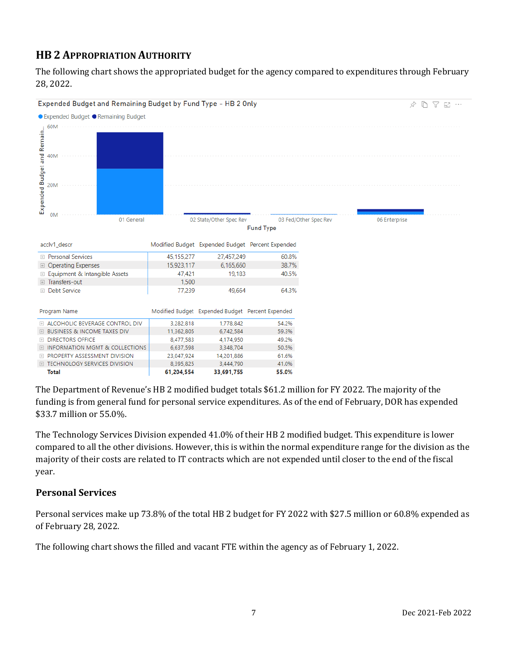## **HB 2 APPROPRIATION AUTHORITY**

The following chart shows the appropriated budget for the agency compared to expenditures through February 28, 2022.



The Department of Revenue's HB 2 modified budget totals \$61.2 million for FY 2022. The majority of the funding is from general fund for personal service expenditures. As of the end of February, DOR has expended \$33.7 million or 55.0%.

The Technology Services Division expended 41.0% of their HB 2 modified budget. This expenditure is lower compared to all the other divisions. However, this is within the normal expenditure range for the division as the majority of their costs are related to IT contracts which are not expended until closer to the end of the fiscal year.

## **Personal Services**

Personal services make up 73.8% of the total HB 2 budget for FY 2022 with \$27.5 million or 60.8% expended as of February 28, 2022.

The following chart shows the filled and vacant FTE within the agency as of February 1, 2022.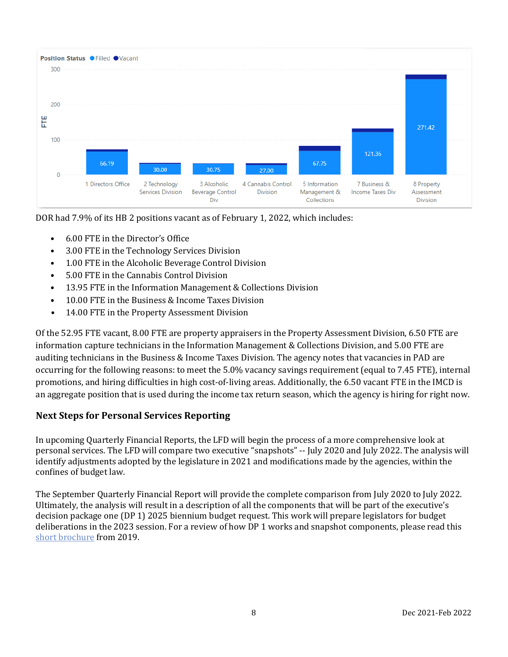

DOR had 7.9% of its HB 2 positions vacant as of February 1, 2022, which includes:

- 6.00 FTE in the Director's Office
- 3.00 FTE in the Technology Services Division
- 1.00 FTE in the Alcoholic Beverage Control Division
- 5.00 FTE in the Cannabis Control Division
- 13.95 FTE in the Information Management & Collections Division
- 10.00 FTE in the Business & Income Taxes Division
- 14.00 FTE in the Property Assessment Division

Of the 52.95 FTE vacant, 8.00 FTE are property appraisers in the Property Assessment Division, 6.50 FTE are information capture technicians in the Information Management & Collections Division, and 5.00 FTE are auditing technicians in the Business & Income Taxes Division. The agency notes that vacancies in PAD are occurring for the following reasons: to meet the 5.0% vacancy savings requirement (equal to 7.45 FTE), internal promotions, and hiring difficulties in high cost-of-living areas. Additionally, the 6.50 vacant FTE in the IMCD is an aggregate position that is used during the income tax return season, which the agency is hiring for right now.

#### **Next Steps for Personal Services Reporting**

In upcoming Quarterly Financial Reports, the LFD will begin the process of a more comprehensive look at personal services. The LFD will compare two executive "snapshots" -- July 2020 and July 2022. The analysis will identify adjustments adopted by the legislature in 2021 and modifications made by the agencies, within the confines of budget law.

The September Quarterly Financial Report will provide the complete comparison from July 2020 to July 2022. Ultimately, the analysis will result in a description of all the components that will be part of the executive's decision package one (DP 1) 2025 biennium budget request. This work will prepare legislators for budget deliberations in the 2023 session. For a review of how DP 1 works and snapshot components, please read this [short brochure](https://montana.maps.arcgis.com/apps/Cascade/index.html?appid=23095fcf15754f4fb38b63c58a884b97) from 2019.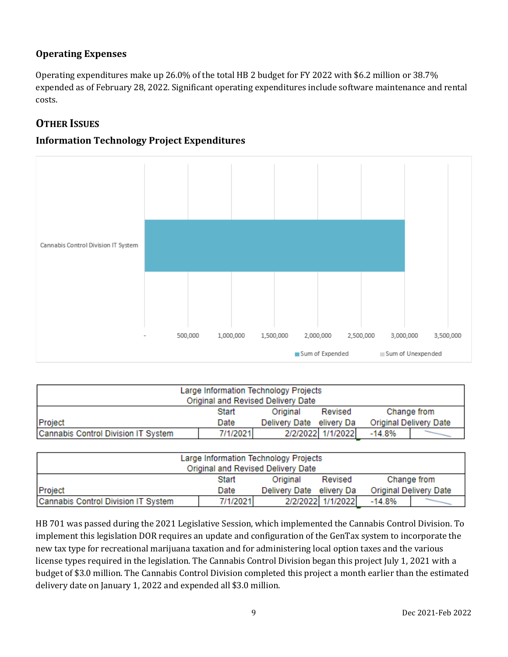## **Operating Expenses**

Operating expenditures make up 26.0% of the total HB 2 budget for FY 2022 with \$6.2 million or 38.7% expended as of February 28, 2022. Significant operating expenditures include software maintenance and rental costs.

## **OTHER ISSUES**

## **Information Technology Project Expenditures**



| Large Information Technology Projects<br>Original and Revised Delivery Date |          |                          |                   |                        |  |  |
|-----------------------------------------------------------------------------|----------|--------------------------|-------------------|------------------------|--|--|
|                                                                             | Start    | Original                 | Revised           | Change from            |  |  |
| Project                                                                     | Date     | Delivery Date elivery Da |                   | Original Delivery Date |  |  |
| Cannabis Control Division IT System                                         | 7/1/2021 |                          | 2/2/2022 1/1/2022 | $-14.8%$               |  |  |

| Large Information Technology Projects |          |                          |                   |                        |  |  |
|---------------------------------------|----------|--------------------------|-------------------|------------------------|--|--|
| Original and Revised Delivery Date    |          |                          |                   |                        |  |  |
|                                       | Start    | Original                 | Revised           | Change from            |  |  |
| Project                               | Date     | Delivery Date elivery Da |                   | Original Delivery Date |  |  |
| Cannabis Control Division IT System   | 7/1/2021 |                          | 2/2/2022 1/1/2022 | $-14.8%$               |  |  |

HB 701 was passed during the 2021 Legislative Session, which implemented the Cannabis Control Division. To implement this legislation DOR requires an update and configuration of the GenTax system to incorporate the new tax type for recreational marijuana taxation and for administering local option taxes and the various license types required in the legislation. The Cannabis Control Division began this project July 1, 2021 with a budget of \$3.0 million. The Cannabis Control Division completed this project a month earlier than the estimated delivery date on January 1, 2022 and expended all \$3.0 million.